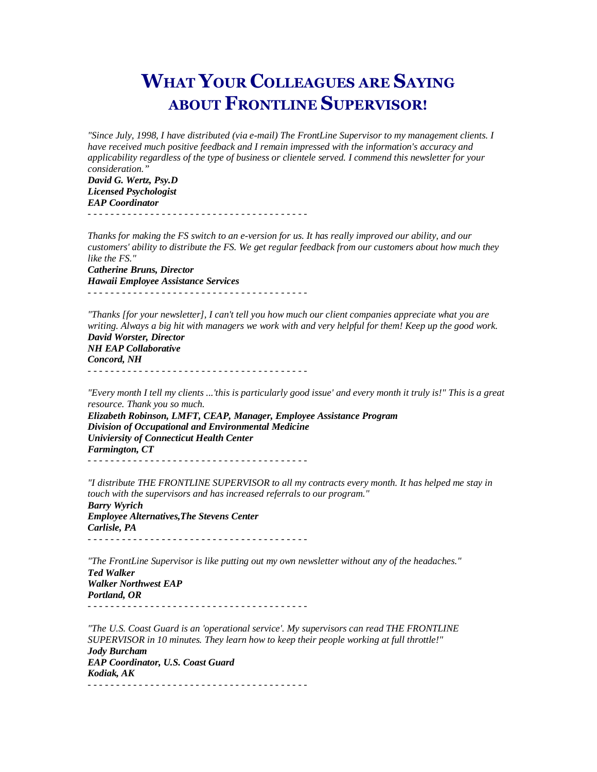## WHAT YOUR COLLEAGUES ARE SAYING ABOUT FRONTLINE SUPERVISOR!

*"Since July, 1998, I have distributed (via e-mail) The FrontLine Supervisor to my management clients. I have received much positive feedback and I remain impressed with the information's accuracy and applicability regardless of the type of business or clientele served. I commend this newsletter for your consideration."* 

*David G. Wertz, Psy.D Licensed Psychologist EAP Coordinator*  - - - - - - - - - - - - - - - - - - - - - - - - - - - - - - - - - - - - - - -

*Thanks for making the FS switch to an e-version for us. It has really improved our ability, and our customers' ability to distribute the FS. We get regular feedback from our customers about how much they like the FS." Catherine Bruns, Director* 

*Hawaii Employee Assistance Services* - - - - - - - - - - - - - - - - - - - - - - - - - - - - - - - - - - - - - - -

*"Thanks [for your newsletter], I can't tell you how much our client companies appreciate what you are writing. Always a big hit with managers we work with and very helpful for them! Keep up the good work. David Worster, Director* 

*NH EAP Collaborative Concord, NH*  - - - - - - - - - - - - - - - - - - - - - - - - - - - - - - - - - - - - - - -

*"Every month I tell my clients ...'this is particularly good issue' and every month it truly is!" This is a great resource. Thank you so much. Elizabeth Robinson, LMFT, CEAP, Manager, Employee Assistance Program* 

*Division of Occupational and Environmental Medicine Univiersity of Connecticut Health Center Farmington, CT*  - - - - - - - - - - - - - - - - - - - - - - - - - - - - - - - - - - - - - - -

*"I distribute THE FRONTLINE SUPERVISOR to all my contracts every month. It has helped me stay in touch with the supervisors and has increased referrals to our program." Barry Wyrich Employee Alternatives,The Stevens Center Carlisle, PA*  - - - - - - - - - - - - - - - - - - - - - - - - - - - - - - - - - - - - - - -

*"The FrontLine Supervisor is like putting out my own newsletter without any of the headaches." Ted Walker Walker Northwest EAP Portland, OR* 

- - - - - - - - - - - - - - - - - - - - - - - - - - - - - - - - - - - - - - -

*"The U.S. Coast Guard is an 'operational service'. My supervisors can read THE FRONTLINE SUPERVISOR in 10 minutes. They learn how to keep their people working at full throttle!" Jody Burcham EAP Coordinator, U.S. Coast Guard Kodiak, AK*  - - - - - - - - - - - - - - - - - - - - - - - - - - - - - - - - - - - - - - -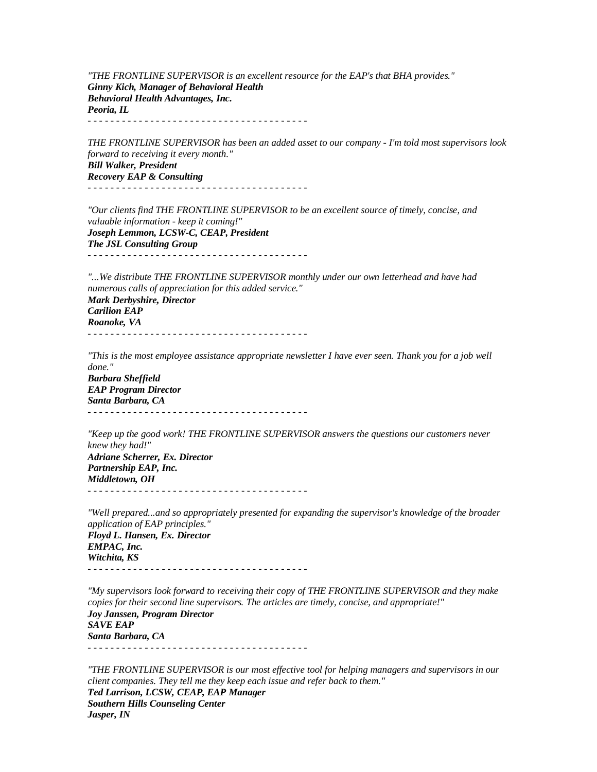*"THE FRONTLINE SUPERVISOR is an excellent resource for the EAP's that BHA provides." Ginny Kich, Manager of Behavioral Health Behavioral Health Advantages, Inc. Peoria, IL*  - - - - - - - - - - - - - - - - - - - - - - - - - - - - - - - - - - - - - - -

*THE FRONTLINE SUPERVISOR has been an added asset to our company - I'm told most supervisors look forward to receiving it every month." Bill Walker, President Recovery EAP & Consulting*  - - - - - - - - - - - - - - - - - - - - - - - - - - - - - - - - - - - - - - -

*"Our clients find THE FRONTLINE SUPERVISOR to be an excellent source of timely, concise, and valuable information - keep it coming!" Joseph Lemmon, LCSW-C, CEAP, President The JSL Consulting Group*  - - - - - - - - - - - - - - - - - - - - - - - - - - - - - - - - - - - - - - -

*"...We distribute THE FRONTLINE SUPERVISOR monthly under our own letterhead and have had numerous calls of appreciation for this added service." Mark Derbyshire, Director Carilion EAP Roanoke, VA* 

- - - - - - - - - - - - - - - - - - - - - - - - - - - - - - - - - - - - - - -

*"This is the most employee assistance appropriate newsletter I have ever seen. Thank you for a job well done." Barbara Sheffield EAP Program Director Santa Barbara, CA* 

- - - - - - - - - - - - - - - - - - - - - - - - - - - - - - - - - - - - - - -

*"Keep up the good work! THE FRONTLINE SUPERVISOR answers the questions our customers never knew they had!" Adriane Scherrer, Ex. Director Partnership EAP, Inc. Middletown, OH*  - - - - - - - - - - - - - - - - - - - - - - - - - - - - - - - - - - - - - - -

*"Well prepared...and so appropriately presented for expanding the supervisor's knowledge of the broader application of EAP principles." Floyd L. Hansen, Ex. Director EMPAC, Inc. Witchita, KS*  - - - - - - - - - - - - - - - - - - - - - - - - - - - - - - - - - - - - - - -

*"My supervisors look forward to receiving their copy of THE FRONTLINE SUPERVISOR and they make copies for their second line supervisors. The articles are timely, concise, and appropriate!" Joy Janssen, Program Director SAVE EAP Santa Barbara, CA*  - - - - - - - - - - - - - - - - - - - - - - - - - - - - - - - - - - - - - - -

*"THE FRONTLINE SUPERVISOR is our most effective tool for helping managers and supervisors in our client companies. They tell me they keep each issue and refer back to them." Ted Larrison, LCSW, CEAP, EAP Manager Southern Hills Counseling Center Jasper, IN*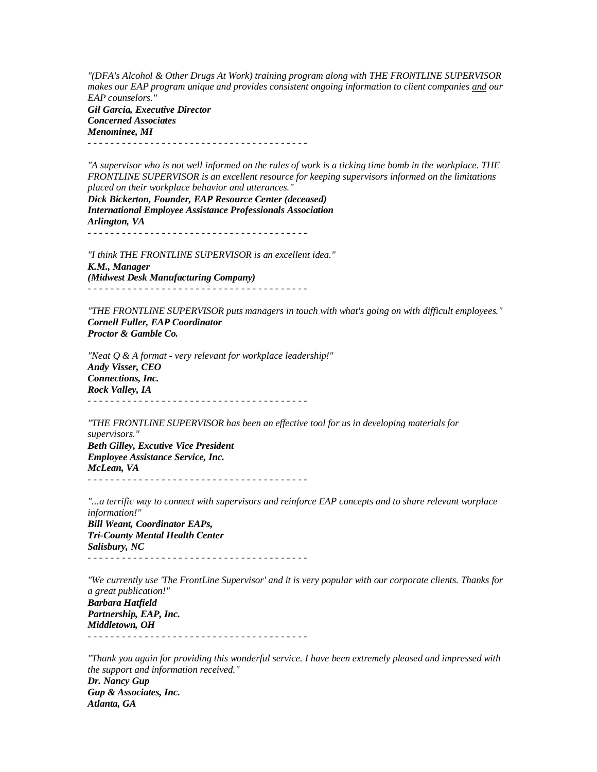*"(DFA's Alcohol & Other Drugs At Work) training program along with THE FRONTLINE SUPERVISOR makes our EAP program unique and provides consistent ongoing information to client companies and our EAP counselors." Gil Garcia, Executive Director Concerned Associates* 

*Menominee, MI*  - - - - - - - - - - - - - - - - - - - - - - - - - - - - - - - - - - - - - - -

*"A supervisor who is not well informed on the rules of work is a ticking time bomb in the workplace. THE FRONTLINE SUPERVISOR is an excellent resource for keeping supervisors informed on the limitations placed on their workplace behavior and utterances."* 

*Dick Bickerton, Founder, EAP Resource Center (deceased) International Employee Assistance Professionals Association Arlington, VA*  - - - - - - - - - - - - - - - - - - - - - - - - - - - - - - - - - - - - - - -

*"I think THE FRONTLINE SUPERVISOR is an excellent idea." K.M., Manager (Midwest Desk Manufacturing Company)*  - - - - - - - - - - - - - - - - - - - - - - - - - - - - - - - - - - - - - - -

*"THE FRONTLINE SUPERVISOR puts managers in touch with what's going on with difficult employees." Cornell Fuller, EAP Coordinator Proctor & Gamble Co.* 

*"Neat Q & A format - very relevant for workplace leadership!" Andy Visser, CEO Connections, Inc. Rock Valley, IA*  - - - - - - - - - - - - - - - - - - - - - - - - - - - - - - - - - - - - - - -

*"THE FRONTLINE SUPERVISOR has been an effective tool for us in developing materials for supervisors." Beth Gilley, Excutive Vice President Employee Assistance Service, Inc. McLean, VA*  - - - - - - - - - - - - - - - - - - - - - - - - - - - - - - - - - - - - - - -

*"...a terrific way to connect with supervisors and reinforce EAP concepts and to share relevant worplace information!" Bill Weant, Coordinator EAPs, Tri-County Mental Health Center Salisbury, NC*  - - - - - - - - - - - - - - - - - - - - - - - - - - - - - - - - - - - - - - -

*"We currently use 'The FrontLine Supervisor' and it is very popular with our corporate clients. Thanks for a great publication!" Barbara Hatfield Partnership, EAP, Inc. Middletown, OH*  - - - - - - - - - - - - - - - - - - - - - - - - - - - - - - - - - - - - - - -

*"Thank you again for providing this wonderful service. I have been extremely pleased and impressed with the support and information received." Dr. Nancy Gup Gup & Associates, Inc. Atlanta, GA*